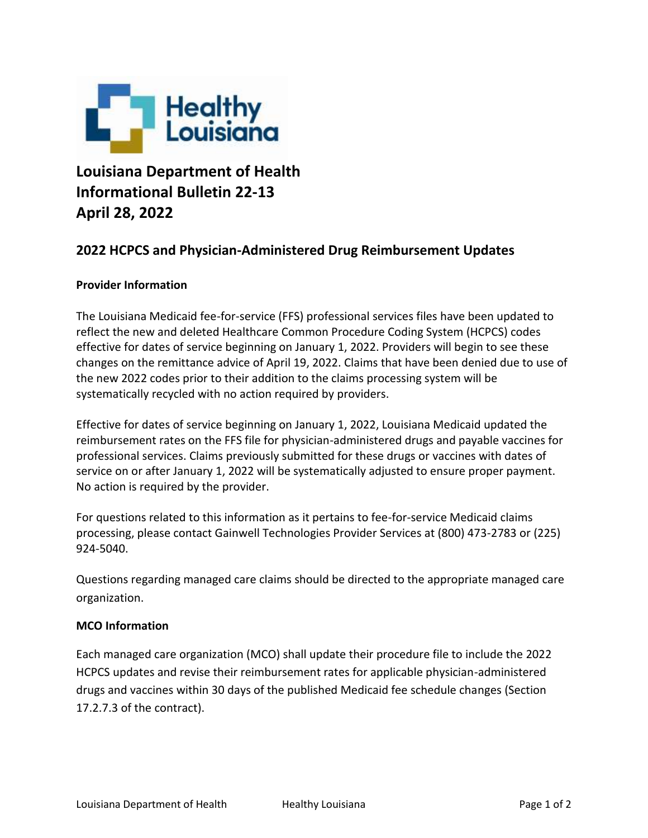

## **Louisiana Department of Health Informational Bulletin 22-13 April 28, 2022**

## **2022 HCPCS and Physician-Administered Drug Reimbursement Updates**

## **Provider Information**

The Louisiana Medicaid fee-for-service (FFS) professional services files have been updated to reflect the new and deleted Healthcare Common Procedure Coding System (HCPCS) codes effective for dates of service beginning on January 1, 2022. Providers will begin to see these changes on the remittance advice of April 19, 2022. Claims that have been denied due to use of the new 2022 codes prior to their addition to the claims processing system will be systematically recycled with no action required by providers.

Effective for dates of service beginning on January 1, 2022, Louisiana Medicaid updated the reimbursement rates on the FFS file for physician-administered drugs and payable vaccines for professional services. Claims previously submitted for these drugs or vaccines with dates of service on or after January 1, 2022 will be systematically adjusted to ensure proper payment. No action is required by the provider.

For questions related to this information as it pertains to fee-for-service Medicaid claims processing, please contact Gainwell Technologies Provider Services at (800) 473-2783 or (225) 924-5040.

Questions regarding managed care claims should be directed to the appropriate managed care organization.

## **MCO Information**

Each managed care organization (MCO) shall update their procedure file to include the 2022 HCPCS updates and revise their reimbursement rates for applicable physician-administered drugs and vaccines within 30 days of the published Medicaid fee schedule changes (Section 17.2.7.3 of the contract).